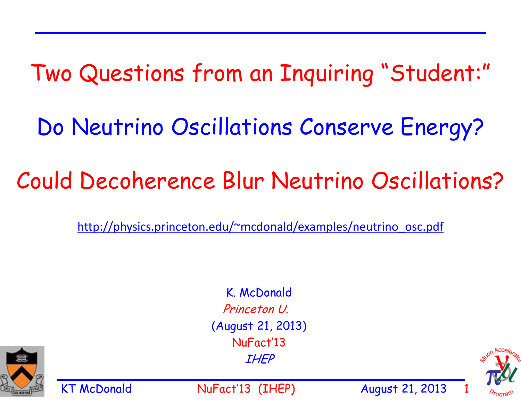## Two Questions from an Inquiring "Student:"

Do Neutrino Oscillations Conserve Energy?

# Could Decoherence Blur Neutrino Oscillations?

http://physics.princeton.edu/~mcdonald/examples/neutrino\_osc.pdf

K. McDonald Princeton U. (August 21, 2013) NuFact'13 IHEP

KT McDonald MuFact'13 (IHEP) August 21, 2013



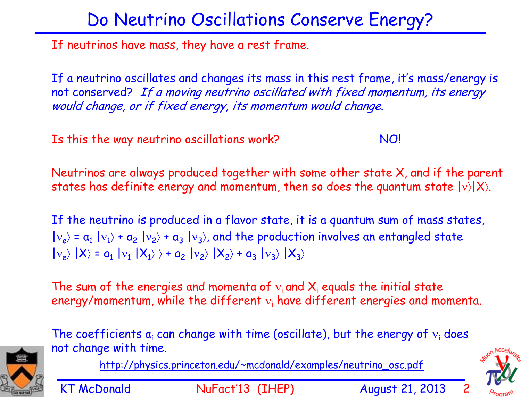#### Do Neutrino Oscillations Conserve Energy?

If neutrinos have mass, they have a rest frame.

If a neutrino oscillates and changes its mass in this rest frame, it's mass/energy is not conserved? If a moving neutrino oscillated with fixed momentum, its energy would change, or if fixed energy, its momentum would change.

Is this the way neutrino oscillations work? NO!

Neutrinos are always produced together with some other state X, and if the parent states has definite energy and momentum, then so does the quantum state  $|v\rangle|X\rangle$ .

If the neutrino is produced in a flavor state, it is a quantum sum of mass states,  $|{\rm v_e}\rangle$  =  ${\rm a_1}$   $|{\rm v_1}\rangle$  +  ${\rm a_2}$   $|{\rm v_2}\rangle$  +  ${\rm a_3}$   $|{\rm v_3}\rangle$ , and the production involves an entangled state  $|v_e\rangle$   $|X\rangle$  =  $a_1$   $|v_1$   $|X_1\rangle$   $\rangle$  +  $a_2$   $|v_2\rangle$   $|X_2\rangle$  +  $a_3$   $|v_3\rangle$   $|X_3\rangle$ 

The sum of the energies and momenta of  $v_i$  and  $X_i$  equals the initial state energy/momentum, while the different  $v_i$  have different energies and momenta.



http://physics.princeton.edu/~mcdonald/examples/neutrino\_osc.pdf



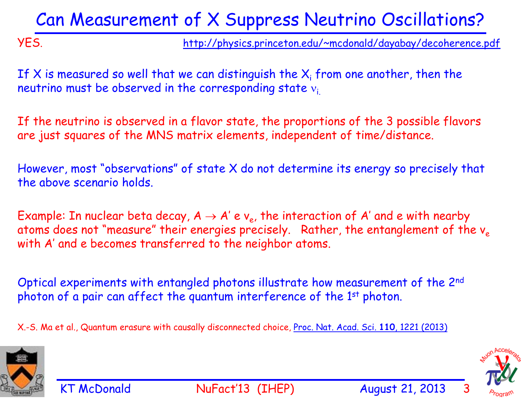#### Can Measurement of X Suppress Neutrino Oscillations?

YES. http://physics.princeton.edu/~mcdonald/dayabay/decoherence.pdf

If X is measured so well that we can distinguish the  $X_i$  from one another, then the neutrino must be observed in the corresponding state  $v_i$ .

If the neutrino is observed in a flavor state, the proportions of the 3 possible flavors are just squares of the MNS matrix elements, independent of time/distance.

However, most "observations" of state X do not determine its energy so precisely that the above scenario holds.

Example: In nuclear beta decay,  $A \rightarrow A' e v_e$ , the interaction of A' and e with nearby atoms does not "measure" their energies precisely. Rather, the entanglement of the  $v_e$ with A' and e becomes transferred to the neighbor atoms.

Optical experiments with entangled photons illustrate how measurement of the 2nd photon of a pair can affect the quantum interference of the 1<sup>st</sup> photon.

X.-S. Ma et al., Quantum erasure with causally disconnected choice, Proc. Nat. Acad. Sci. **110**, 1221 (2013)